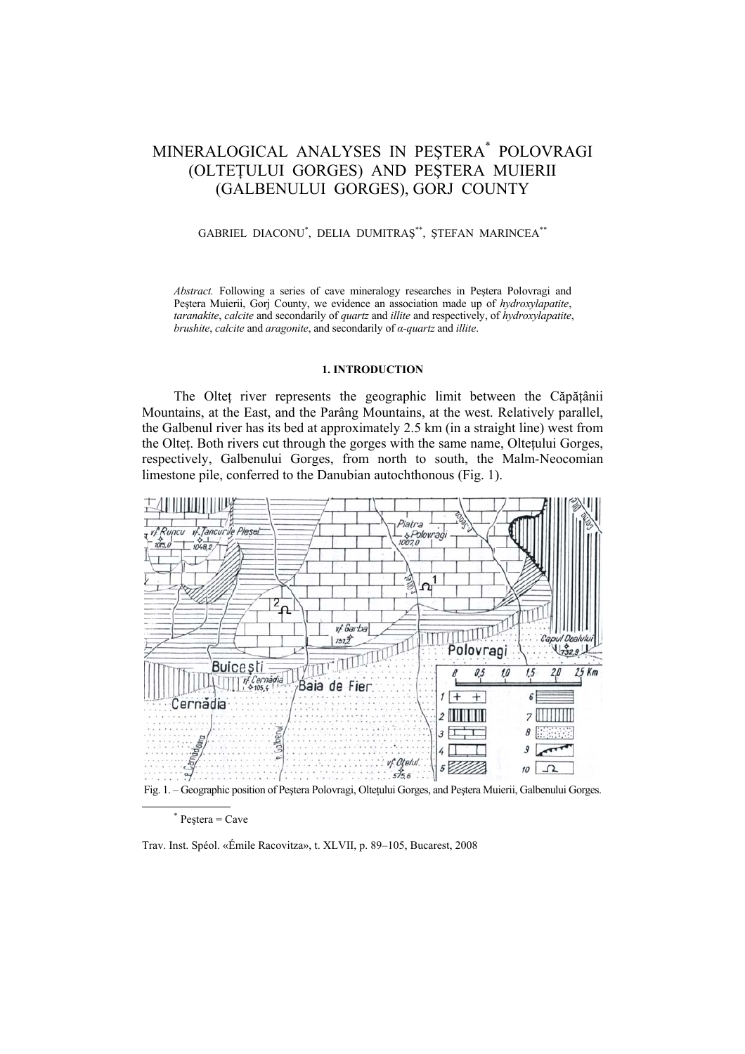# MINERALOGICAL ANALYSES IN PEŞTERA\* POLOVRAGI (OLTEŢULUI GORGES) AND PEŞTERA MUIERII (GALBENULUI GORGES), GORJ COUNTY

## GABRIEL DIACONU\* , DELIA DUMITRAŞ\*\*, ŞTEFAN MARINCEA\*\*

*Abstract.* Following a series of cave mineralogy researches in Peştera Polovragi and Peştera Muierii, Gorj County, we evidence an association made up of *hydroxylapatite*, *taranakite*, *calcite* and secondarily of *quartz* and *illite* and respectively, of *hydroxylapatite*, *brushite*, *calcite* and *aragonite*, and secondarily of *α-quartz* and *illite*.

### **1. INTRODUCTION**

The Oltet river represents the geographic limit between the Căpățânii Mountains, at the East, and the Parâng Mountains, at the west. Relatively parallel, the Galbenul river has its bed at approximately 2.5 km (in a straight line) west from the Oltet. Both rivers cut through the gorges with the same name, Oltetului Gorges, respectively, Galbenului Gorges, from north to south, the Malm-Neocomian limestone pile, conferred to the Danubian autochthonous (Fig. 1).



Fig. 1. – Geographic position of Peştera Polovragi, Olteţului Gorges, and Peştera Muierii, Galbenului Gorges.

Trav. Inst. Spéol. «Émile Racovitza», t. XLVII, p. 89–105, Bucarest, 2008

 <sup>\*</sup>  $*$  Pestera = Cave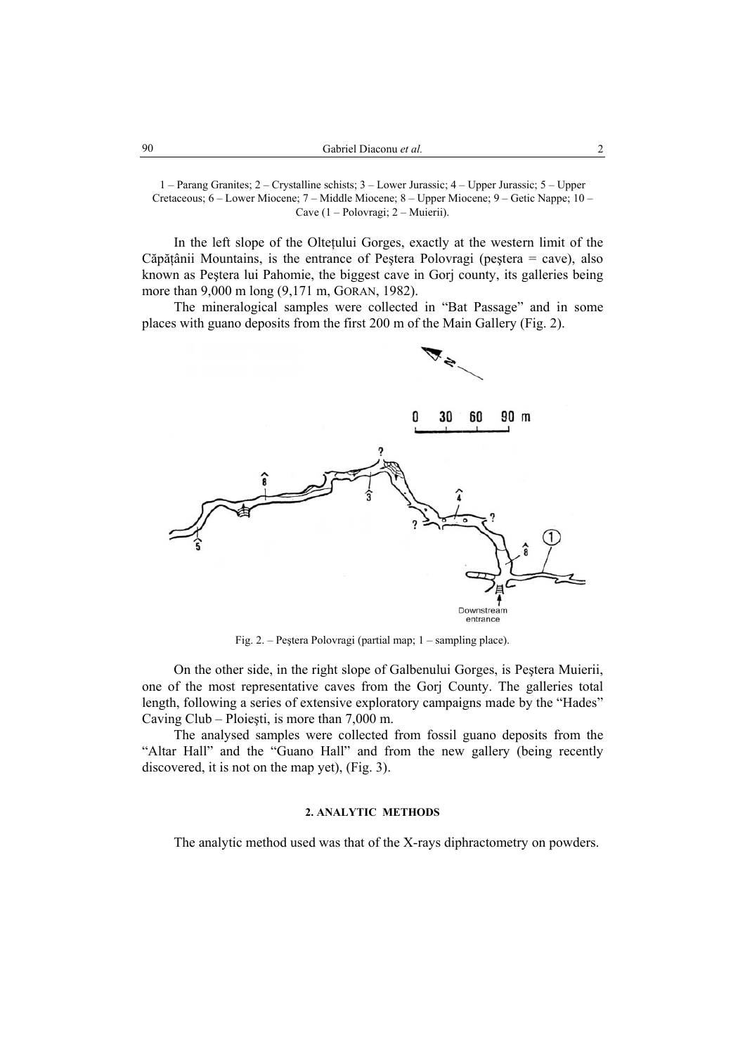1 – Parang Granites; 2 – Crystalline schists; 3 – Lower Jurassic; 4 – Upper Jurassic; 5 – Upper Cretaceous; 6 – Lower Miocene; 7 – Middle Miocene; 8 – Upper Miocene; 9 – Getic Nappe; 10 – Cave (1 – Polovragi; 2 – Muierii).

In the left slope of the Olteţului Gorges, exactly at the western limit of the Căpăţânii Mountains, is the entrance of Peştera Polovragi (peştera = cave), also known as Peştera lui Pahomie, the biggest cave in Gorj county, its galleries being more than 9,000 m long (9,171 m, GORAN, 1982).

The mineralogical samples were collected in "Bat Passage" and in some places with guano deposits from the first 200 m of the Main Gallery (Fig. 2).



Fig. 2. – Peştera Polovragi (partial map; 1 – sampling place).

On the other side, in the right slope of Galbenului Gorges, is Peştera Muierii, one of the most representative caves from the Gorj County. The galleries total length, following a series of extensive exploratory campaigns made by the "Hades" Caving Club – Ploieşti, is more than 7,000 m.

The analysed samples were collected from fossil guano deposits from the "Altar Hall" and the "Guano Hall" and from the new gallery (being recently discovered, it is not on the map yet), (Fig. 3).

# **2. ANALYTIC METHODS**

The analytic method used was that of the X-rays diphractometry on powders.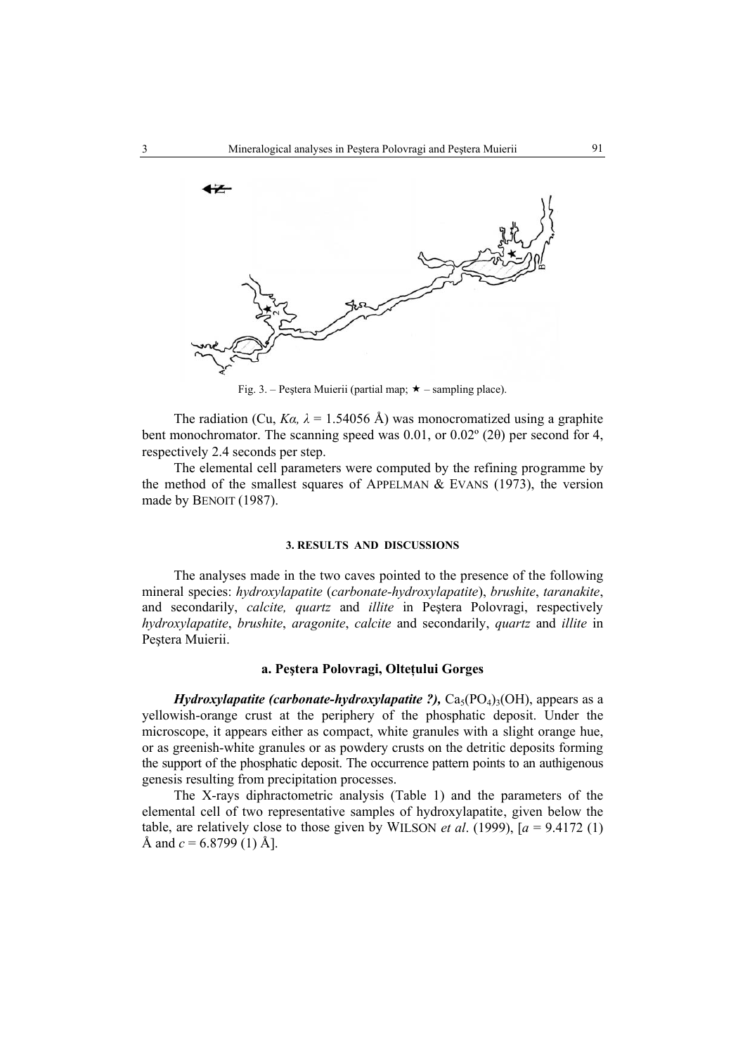

Fig. 3. – Peştera Muierii (partial map;  $\star$  – sampling place).

The radiation (Cu,  $Ka$ ,  $\lambda = 1.54056$  Å) was monocromatized using a graphite bent monochromator. The scanning speed was 0.01, or 0.02º (2θ) per second for 4, respectively 2.4 seconds per step.

The elemental cell parameters were computed by the refining programme by the method of the smallest squares of APPELMAN  $&$  EVANS (1973), the version made by BENOIT (1987).

### **3. RESULTS AND DISCUSSIONS**

The analyses made in the two caves pointed to the presence of the following mineral species: *hydroxylapatite* (*carbonate-hydroxylapatite*), *brushite*, *taranakite*, and secondarily, *calcite, quartz* and *illite* in Peştera Polovragi, respectively *hydroxylapatite*, *brushite*, *aragonite*, *calcite* and secondarily, *quartz* and *illite* in Pestera Muierii.

# **a. Peştera Polovragi, Olteţului Gorges**

*Hydroxylapatite (carbonate-hydroxylapatite ?),*  $Ca<sub>5</sub>(PO<sub>4</sub>)<sub>3</sub>(OH)$ , appears as a yellowish-orange crust at the periphery of the phosphatic deposit. Under the microscope, it appears either as compact, white granules with a slight orange hue, or as greenish-white granules or as powdery crusts on the detritic deposits forming the support of the phosphatic deposit. The occurrence pattern points to an authigenous genesis resulting from precipitation processes.

The X-rays diphractometric analysis (Table 1) and the parameters of the elemental cell of two representative samples of hydroxylapatite, given below the table, are relatively close to those given by WILSON *et al.* (1999),  $[a = 9.4172(1)]$ Å and  $c = 6.8799(1)$  Å].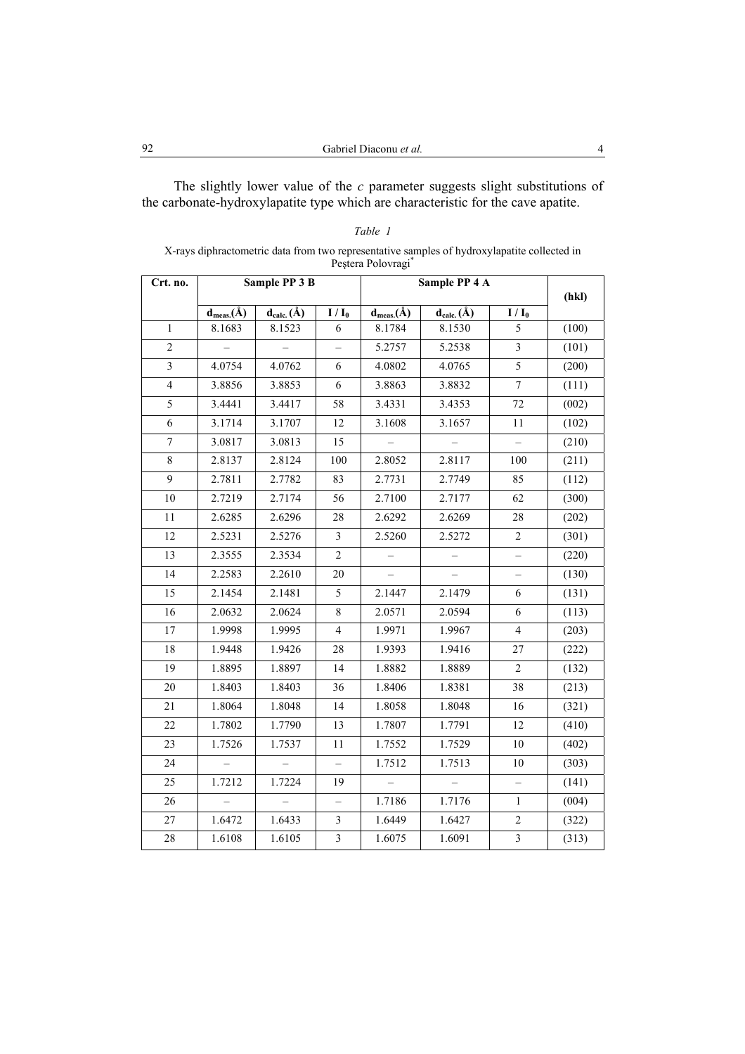The slightly lower value of the *c* parameter suggests slight substitutions of the carbonate-hydroxylapatite type which are characteristic for the cave apatite.

|                         |                  |                  |                          | Peștera Polovragi* |                  |                          |       |
|-------------------------|------------------|------------------|--------------------------|--------------------|------------------|--------------------------|-------|
| Crt. no.                |                  | Sample PP 3 B    |                          |                    | Sample PP 4 A    |                          | (hkl) |
|                         | $d_{meas.}(\AA)$ | $d_{calc.}(\AA)$ | $I/I_0$                  | $d_{meas.}(\AA)$   | $d_{calc.}(\AA)$ | $I/I_0$                  |       |
| $\mathbf{1}$            | 8.1683           | 8.1523           | 6                        | 8.1784             | 8.1530           | 5                        | (100) |
| $\overline{2}$          | $\equiv$         | $\equiv$         | $\overline{\phantom{0}}$ | 5.2757             | 5.2538           | $\mathfrak{Z}$           | (101) |
| $\overline{\mathbf{3}}$ | 4.0754           | 4.0762           | 6                        | 4.0802             | 4.0765           | $\overline{5}$           | (200) |
| $\overline{4}$          | 3.8856           | 3.8853           | 6                        | 3.8863             | 3.8832           | $\boldsymbol{7}$         | (111) |
| 5                       | 3.4441           | 3.4417           | 58                       | 3.4331             | 3.4353           | 72                       | (002) |
| 6                       | 3.1714           | 3.1707           | 12                       | 3.1608             | 3.1657           | 11                       | (102) |
| $\tau$                  | 3.0817           | 3.0813           | 15                       | $\equiv$           | $\equiv$         | $\overline{\phantom{0}}$ | (210) |
| 8                       | 2.8137           | 2.8124           | 100                      | 2.8052             | 2.8117           | 100                      | (211) |
| 9                       | 2.7811           | 2.7782           | 83                       | 2.7731             | 2.7749           | 85                       | (112) |
| 10                      | 2.7219           | 2.7174           | 56                       | 2.7100             | 2.7177           | 62                       | (300) |
| 11                      | 2.6285           | 2.6296           | 28                       | 2.6292             | 2.6269           | 28                       | (202) |
| 12                      | 2.5231           | 2.5276           | 3                        | 2.5260             | 2.5272           | $\sqrt{2}$               | (301) |
| 13                      | 2.3555           | 2.3534           | $\overline{c}$           |                    |                  | $\overline{\phantom{0}}$ | (220) |
| 14                      | 2.2583           | 2.2610           | 20                       |                    | $\overline{a}$   | $\overline{\phantom{0}}$ | (130) |
| 15                      | 2.1454           | 2.1481           | 5                        | 2.1447             | 2.1479           | 6                        | (131) |
| 16                      | 2.0632           | 2.0624           | $\,$ 8 $\,$              | 2.0571             | 2.0594           | $\sqrt{6}$               | (113) |
| 17                      | 1.9998           | 1.9995           | $\overline{4}$           | 1.9971             | 1.9967           | $\overline{4}$           | (203) |
| 18                      | 1.9448           | 1.9426           | 28                       | 1.9393             | 1.9416           | 27                       | (222) |
| 19                      | 1.8895           | 1.8897           | 14                       | 1.8882             | 1.8889           | $\overline{c}$           | (132) |
| 20                      | 1.8403           | 1.8403           | 36                       | 1.8406             | 1.8381           | 38                       | (213) |
| 21                      | 1.8064           | 1.8048           | 14                       | 1.8058             | 1.8048           | 16                       | (321) |
| 22                      | 1.7802           | 1.7790           | 13                       | 1.7807             | 1.7791           | 12                       | (410) |
| 23                      | 1.7526           | 1.7537           | 11                       | 1.7552             | 1.7529           | 10                       | (402) |
| 24                      | $\equiv$         |                  | $\overline{\phantom{0}}$ | 1.7512             | 1.7513           | 10                       | (303) |
| 25                      | 1.7212           | 1.7224           | 19                       |                    |                  |                          | (141) |
| 26                      |                  |                  | $\overline{\phantom{0}}$ | 1.7186             | 1.7176           | 1                        | (004) |
| 27                      | 1.6472           | 1.6433           | 3                        | 1.6449             | 1.6427           | $\overline{c}$           | (322) |
| 28                      | 1.6108           | 1.6105           | $\overline{\mathbf{3}}$  | 1.6075             | 1.6091           | $\overline{\mathbf{3}}$  | (313) |

| Table |  |  |
|-------|--|--|
|-------|--|--|

# X-rays diphractometric data from two representative samples of hydroxylapatite collected in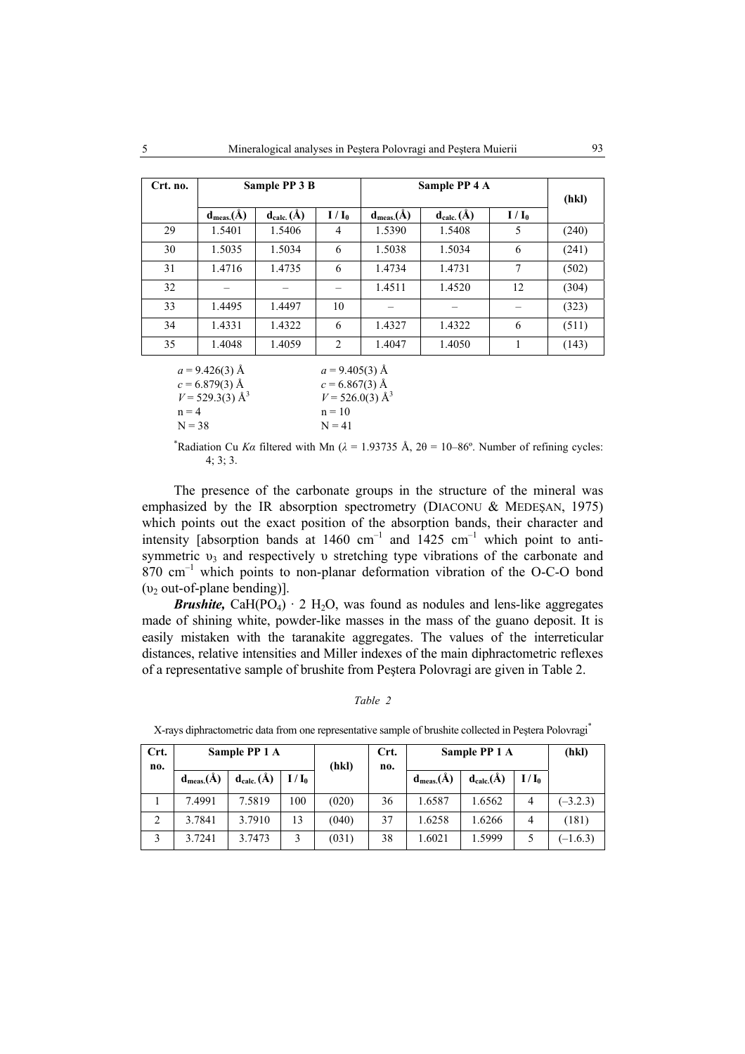| Crt. no. |                  | Sample PP 3 B    |                |                  | Sample PP 4 A    |           |       |  |
|----------|------------------|------------------|----------------|------------------|------------------|-----------|-------|--|
|          | $d_{meas.}(\AA)$ | $d_{calc.}(\AA)$ | $I/I_0$        | $d_{meas.}(\AA)$ | $d_{calc.}(\AA)$ | $I / I_0$ | (hkl) |  |
| 29       | 1.5401           | 1.5406           | 4              | 1.5390           | 1.5408           | 5         | (240) |  |
| 30       | 1.5035           | 1.5034           | 6              | 1.5038           | 1.5034           | 6         | (241) |  |
| 31       | 1.4716           | 1.4735           | 6              | 1.4734           | 1.4731           | 7         | (502) |  |
| 32       |                  |                  |                | 1.4511           | 1.4520           | 12        | (304) |  |
| 33       | 1.4495           | 1.4497           | 10             |                  |                  |           | (323) |  |
| 34       | 1.4331           | 1.4322           | 6              | 1.4327           | 1.4322           | 6         | (511) |  |
| 35       | 1.4048           | 1.4059           | $\overline{c}$ | 1.4047           | 1.4050           |           | (143) |  |
|          | $\sim$           |                  |                | $\sim$           |                  |           |       |  |

 $a = 9.426(3)$  Å  $a = 9.405(3)$  Å  $c = 6.879(3)$  Å  $c = 6.867(3)$  Å  $V = 529.3(3)$  Å<sup>3</sup>  $V = 526.0(3)$  Å<sup>3</sup>  $n = 4$  n = 10  $N = 38$   $N = 41$ 

<sup>\*</sup>Radiation Cu *Ka* filtered with Mn ( $\lambda = 1.93735$  Å,  $2\theta = 10-86^\circ$ . Number of refining cycles:  $4:3:3.$ 

The presence of the carbonate groups in the structure of the mineral was emphasized by the IR absorption spectrometry (DIACONU & MEDEŞAN, 1975) which points out the exact position of the absorption bands, their character and intensity [absorption bands at  $1460 \text{ cm}^{-1}$  and  $1425 \text{ cm}^{-1}$  which point to antisymmetric  $v_3$  and respectively v stretching type vibrations of the carbonate and  $870 \text{ cm}^{-1}$  which points to non-planar deformation vibration of the O-C-O bond  $(v_2$  out-of-plane bending)].

*Brushite,* CaH( $PO_4$ )  $\cdot$  2 H<sub>2</sub>O, was found as nodules and lens-like aggregates made of shining white, powder-like masses in the mass of the guano deposit. It is easily mistaken with the taranakite aggregates. The values of the interreticular distances, relative intensities and Miller indexes of the main diphractometric reflexes of a representative sample of brushite from Peştera Polovragi are given in Table 2.

### *Table 2*

| Crt. |                  | Sample PP 1 A    |         |       | Crt. |                | Sample PP 1 A    |         | (hkl)      |
|------|------------------|------------------|---------|-------|------|----------------|------------------|---------|------------|
| no.  | $d_{meas.}(\AA)$ | $d_{calc.}(\AA)$ | $I/I_0$ | (hkl) | no.  | $d_{meas.}(A)$ | $d_{calc.}(\AA)$ | $I/I_0$ |            |
|      | 7.4991           | 7.5819           | 100     | (020) | 36   | 1.6587         | 1.6562           | 4       | $(-3.2.3)$ |
|      | 3.7841           | 3.7910           | 13      | (040) | 37   | 1.6258         | 1.6266           | 4       | (181)      |
| 3    | 3.7241           | 3.7473           | 3       | (031) | 38   | 1.6021         | 1.5999           |         | $(-1.6.3)$ |

X-rays diphractometric data from one representative sample of brushite collected in Peştera Polovragi\*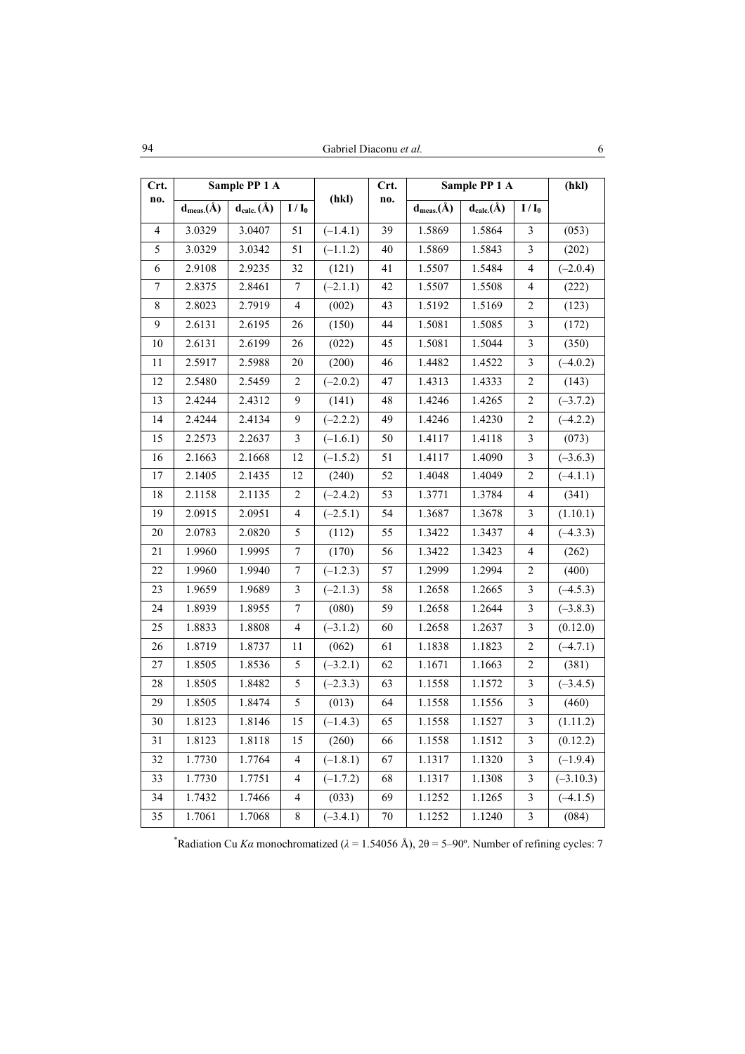|             | Sample PP 1 A    |                  |                          |            |             | Sample PP 1 A    |                  |                         |             |
|-------------|------------------|------------------|--------------------------|------------|-------------|------------------|------------------|-------------------------|-------------|
| Crt.<br>no. |                  |                  |                          | (hkl)      | Crt.<br>no. |                  |                  |                         | (hkl)       |
|             | $d_{meas.}(\AA)$ | $d_{calc.}(\AA)$ | $I/I_0$                  |            |             | $d_{meas.}(\AA)$ | $d_{calc.}(\AA)$ | $I/I_0$                 |             |
| 4           | 3.0329           | 3.0407           | 51                       | $(-1.4.1)$ | 39          | 1.5869           | 1.5864           | $\mathfrak{Z}$          | (053)       |
| 5           | 3.0329           | 3.0342           | 51                       | $(-1.1.2)$ | 40          | 1.5869           | 1.5843           | 3                       | (202)       |
| 6           | 2.9108           | 2.9235           | 32                       | (121)      | 41          | 1.5507           | 1.5484           | 4                       | $(-2.0.4)$  |
| $\tau$      | 2.8375           | 2.8461           | $\sqrt{ }$               | $(-2.1.1)$ | 42          | 1.5507           | 1.5508           | $\overline{\mathbf{4}}$ | (222)       |
| 8           | 2.8023           | 2.7919           | $\overline{\mathcal{L}}$ | (002)      | 43          | 1.5192           | 1.5169           | $\sqrt{2}$              | (123)       |
| 9           | 2.6131           | 2.6195           | 26                       | (150)      | 44          | 1.5081           | 1.5085           | 3                       | (172)       |
| 10          | 2.6131           | 2.6199           | 26                       | (022)      | 45          | 1.5081           | 1.5044           | 3                       | (350)       |
| 11          | 2.5917           | 2.5988           | 20                       | (200)      | 46          | 1.4482           | 1.4522           | 3                       | $(-4.0.2)$  |
| 12          | 2.5480           | 2.5459           | $\overline{c}$           | $(-2.0.2)$ | 47          | 1.4313           | 1.4333           | $\boldsymbol{2}$        | (143)       |
| 13          | 2.4244           | 2.4312           | 9                        | (141)      | 48          | 1.4246           | 1.4265           | $\sqrt{2}$              | $(-3.7.2)$  |
| 14          | 2.4244           | 2.4134           | 9                        | $(-2.2.2)$ | 49          | 1.4246           | 1.4230           | $\boldsymbol{2}$        | $(-4.2.2)$  |
| 15          | 2.2573           | 2.2637           | $\overline{\mathbf{3}}$  | $(-1.6.1)$ | $50\,$      | 1.4117           | 1.4118           | $\overline{\mathbf{3}}$ | (073)       |
| 16          | 2.1663           | 2.1668           | 12                       | $(-1.5.2)$ | 51          | 1.4117           | 1.4090           | $\mathfrak{Z}$          | $(-3.6.3)$  |
| 17          | 2.1405           | 2.1435           | 12                       | (240)      | 52          | 1.4048           | 1.4049           | $\overline{c}$          | $(-4.1.1)$  |
| 18          | 2.1158           | 2.1135           | $\overline{c}$           | $(-2.4.2)$ | 53          | 1.3771           | 1.3784           | 4                       | (341)       |
| 19          | 2.0915           | 2.0951           | $\overline{\mathcal{L}}$ | $(-2.5.1)$ | 54          | 1.3687           | 1.3678           | $\overline{\mathbf{3}}$ | (1.10.1)    |
| 20          | 2.0783           | 2.0820           | 5                        | (112)      | 55          | 1.3422           | 1.3437           | $\overline{4}$          | $(-4.3.3)$  |
| 21          | 1.9960           | 1.9995           | $\overline{\mathcal{I}}$ | (170)      | 56          | 1.3422           | 1.3423           | $\overline{\mathbf{4}}$ | (262)       |
| $22\,$      | 1.9960           | 1.9940           | $\boldsymbol{7}$         | $(-1.2.3)$ | 57          | 1.2999           | 1.2994           | $\overline{c}$          | (400)       |
| 23          | 1.9659           | 1.9689           | 3                        | $(-2.1.3)$ | 58          | 1.2658           | 1.2665           | $\overline{\mathbf{3}}$ | $(-4.5.3)$  |
| 24          | 1.8939           | 1.8955           | $\boldsymbol{7}$         | (080)      | 59          | 1.2658           | 1.2644           | $\overline{\mathbf{3}}$ | $(-3.8.3)$  |
| 25          | 1.8833           | 1.8808           | $\overline{\mathcal{L}}$ | $(-3.1.2)$ | 60          | 1.2658           | 1.2637           | $\sqrt{3}$              | (0.12.0)    |
| 26          | 1.8719           | 1.8737           | 11                       | (062)      | 61          | 1.1838           | 1.1823           | 2                       | $(-4.7.1)$  |
| 27          | 1.8505           | 1.8536           | 5                        | $(-3.2.1)$ | 62          | 1.1671           | 1.1663           | $\overline{c}$          | (381)       |
| 28          | 1.8505           | 1.8482           | 5                        | $(-2.3.3)$ | 63          | 1.1558           | 1.1572           | $\overline{\mathbf{3}}$ | $(-3.4.5)$  |
| 29          | 1.8505           | 1.8474           | 5                        | (013)      | 64          | 1.1558           | 1.1556           | $\mathfrak{Z}$          | (460)       |
| 30          | 1.8123           | 1.8146           | 15                       | $(-1.4.3)$ | 65          | 1.1558           | 1.1527           | $\overline{\mathbf{3}}$ | (1.11.2)    |
| 31          | 1.8123           | 1.8118           | 15                       | (260)      | 66          | 1.1558           | 1.1512           | 3                       | (0.12.2)    |
| 32          | 1.7730           | 1.7764           | 4                        | $(-1.8.1)$ | 67          | 1.1317           | 1.1320           | 3                       | $(-1.9.4)$  |
| 33          | 1.7730           | 1.7751           | $\overline{4}$           | $(-1.7.2)$ | 68          | 1.1317           | 1.1308           | 3                       | $(-3.10.3)$ |
| 34          | 1.7432           | 1.7466           | 4                        | (033)      | 69          | 1.1252           | 1.1265           | 3                       | $(-4.1.5)$  |
| 35          | 1.7061           | 1.7068           | $\,$ 8 $\,$              | $(-3.4.1)$ | 70          | 1.1252           | 1.1240           | 3                       | (084)       |

<sup>\*</sup>Radiation Cu *Ka* monochromatized ( $\lambda = 1.54056$  Å),  $2\theta = 5-90^\circ$ . Number of refining cycles: 7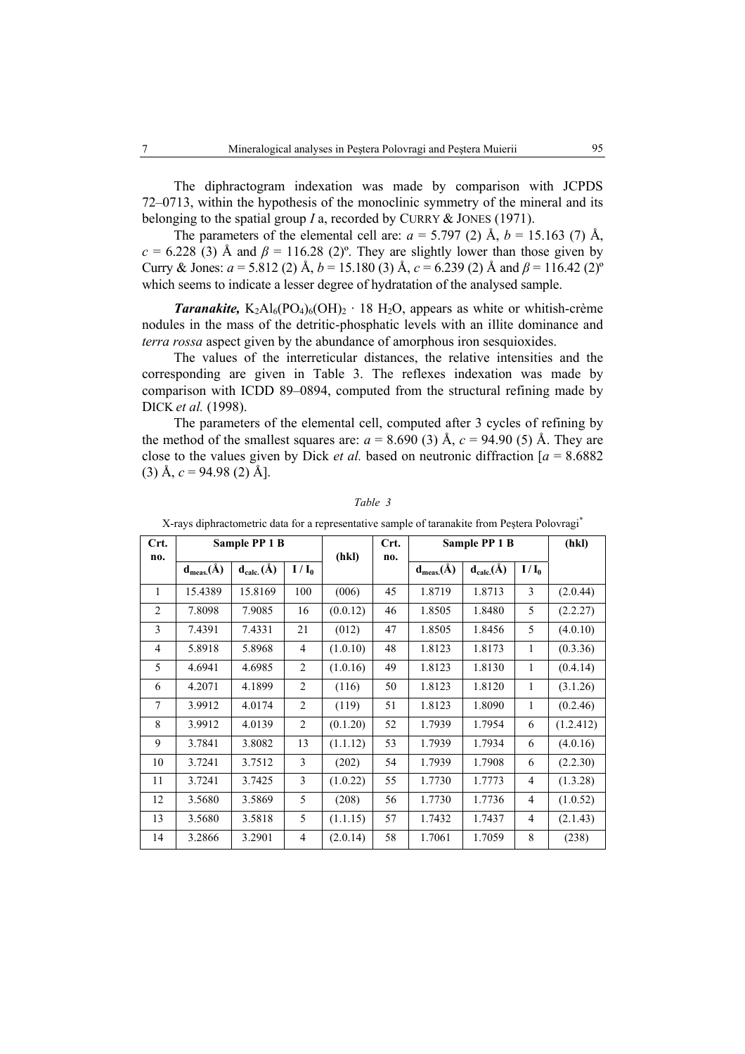The diphractogram indexation was made by comparison with JCPDS 72–0713, within the hypothesis of the monoclinic symmetry of the mineral and its belonging to the spatial group *I* a, recorded by CURRY & JONES (1971).

The parameters of the elemental cell are:  $a = 5.797$  (2) Å,  $b = 15.163$  (7) Å,  $c = 6.228$  (3) Å and  $\beta = 116.28$  (2)<sup>o</sup>. They are slightly lower than those given by Curry & Jones:  $a = 5.812$  (2) Å,  $b = 15.180$  (3) Å,  $c = 6.239$  (2) Å and  $\beta = 116.42$  (2)<sup>o</sup> which seems to indicate a lesser degree of hydratation of the analysed sample.

*Taranakite,*  $K_2Al_6(PO_4)_6(OH)_2 \cdot 18 H_2O$ , appears as white or whitish-crème nodules in the mass of the detritic-phosphatic levels with an illite dominance and *terra rossa* aspect given by the abundance of amorphous iron sesquioxides.

The values of the interreticular distances, the relative intensities and the corresponding are given in Table 3. The reflexes indexation was made by comparison with ICDD 89–0894, computed from the structural refining made by DICK *et al.* (1998).

The parameters of the elemental cell, computed after 3 cycles of refining by the method of the smallest squares are:  $a = 8.690$  (3) Å,  $c = 94.90$  (5) Å. They are close to the values given by Dick *et al.* based on neutronic diffraction  $a = 8.6882$  $(3)$  Å,  $c = 94.98$  (2) Å].

| Crt.           |                  | Sample PP 1 B    |                |          | Crt. |                  | Sample PP 1 B    |                | (hkl)     |
|----------------|------------------|------------------|----------------|----------|------|------------------|------------------|----------------|-----------|
| no.            |                  |                  |                | (hkl)    | no.  |                  |                  |                |           |
|                | $d_{meas.}(\AA)$ | $d_{calc.}(\AA)$ | $I/I_0$        |          |      | $d_{meas.}(\AA)$ | $d_{calc.}(\AA)$ | $I/I_0$        |           |
| 1              | 15.4389          | 15.8169          | 100            | (006)    | 45   | 1.8719           | 1.8713           | 3              | (2.0.44)  |
| $\overline{2}$ | 7.8098           | 7.9085           | 16             | (0.0.12) | 46   | 1.8505           | 1.8480           | 5              | (2.2.27)  |
| $\overline{3}$ | 7.4391           | 7.4331           | 21             | (012)    | 47   | 1.8505           | 1.8456           | 5              | (4.0.10)  |
| $\overline{4}$ | 5.8918           | 5.8968           | $\overline{4}$ | (1.0.10) | 48   | 1.8123           | 1.8173           | 1              | (0.3.36)  |
| 5              | 4.6941           | 4.6985           | 2              | (1.0.16) | 49   | 1.8123           | 1.8130           | 1              | (0.4.14)  |
| 6              | 4.2071           | 4.1899           | $\overline{c}$ | (116)    | 50   | 1.8123           | 1.8120           | 1              | (3.1.26)  |
| $\tau$         | 3.9912           | 4.0174           | $\overline{c}$ | (119)    | 51   | 1.8123           | 1.8090           | $\mathbf{1}$   | (0.2.46)  |
| 8              | 3.9912           | 4.0139           | $\overline{2}$ | (0.1.20) | 52   | 1.7939           | 1.7954           | 6              | (1.2.412) |
| 9              | 3.7841           | 3.8082           | 13             | (1.1.12) | 53   | 1.7939           | 1.7934           | 6              | (4.0.16)  |
| 10             | 3.7241           | 3.7512           | $\overline{3}$ | (202)    | 54   | 1.7939           | 1.7908           | 6              | (2.2.30)  |
| 11             | 3.7241           | 3.7425           | 3              | (1.0.22) | 55   | 1.7730           | 1.7773           | $\overline{4}$ | (1.3.28)  |
| 12             | 3.5680           | 3.5869           | 5              | (208)    | 56   | 1.7730           | 1.7736           | $\overline{4}$ | (1.0.52)  |
| 13             | 3.5680           | 3.5818           | 5              | (1.1.15) | 57   | 1.7432           | 1.7437           | $\overline{4}$ | (2.1.43)  |
| 14             | 3.2866           | 3.2901           | $\overline{4}$ | (2.0.14) | 58   | 1.7061           | 1.7059           | 8              | (238)     |

*Table 3* 

|  |  | X-rays diphractometric data for a representative sample of taranakite from Peștera Polovragi |  |  |  |
|--|--|----------------------------------------------------------------------------------------------|--|--|--|
|  |  |                                                                                              |  |  |  |
|  |  |                                                                                              |  |  |  |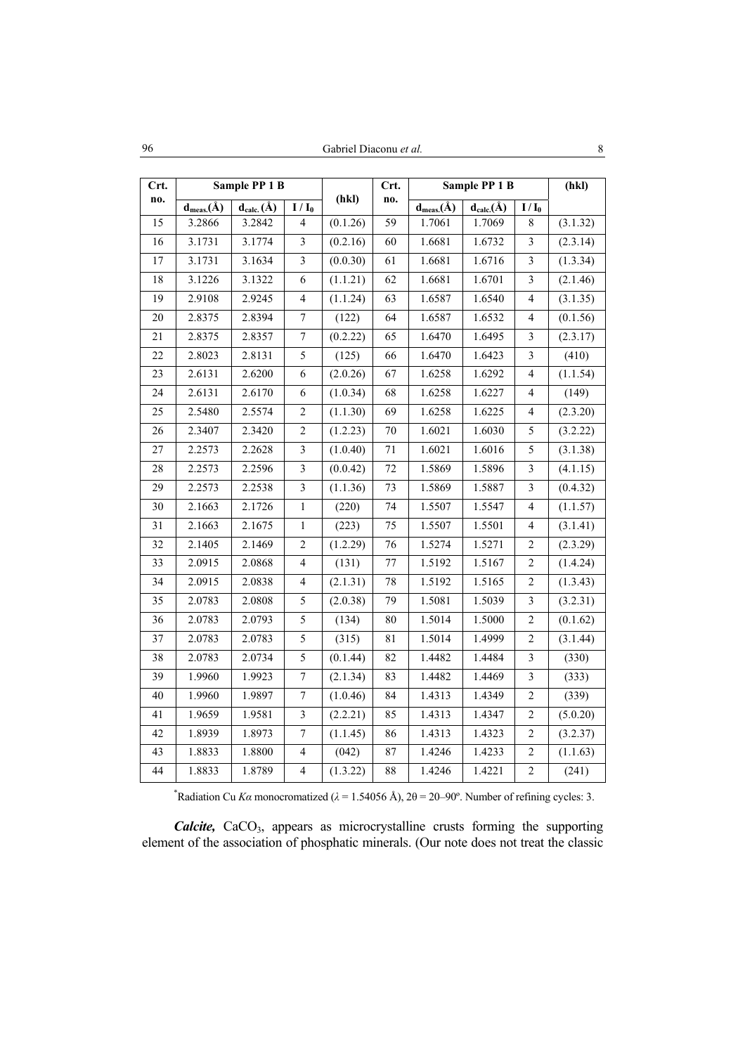| Crt.            |                            | Sample PP 1 B    |                         |          | Crt.    |                  | Sample PP 1 B    |                          | (hkl)    |
|-----------------|----------------------------|------------------|-------------------------|----------|---------|------------------|------------------|--------------------------|----------|
| no.             | $\frac{d_{meas.}(\AA)}{d}$ | $d_{calc.}(\AA)$ | $I/I_0$                 | (hkl)    | no.     | $d_{meas.}(\AA)$ | $d_{calc.}(\AA)$ | $I/I_0$                  |          |
| 15              | 3.2866                     | 3.2842           | $\overline{4}$          | (0.1.26) | 59      | 1.7061           | 1.7069           | 8                        | (3.1.32) |
| 16              | 3.1731                     | 3.1774           | $\mathfrak z$           | (0.2.16) | 60      | 1.6681           | 1.6732           | $\mathfrak{Z}$           | (2.3.14) |
| $17$            | 3.1731                     | 3.1634           | 3                       | (0.0.30) | 61      | 1.6681           | 1.6716           | 3                        | (1.3.34) |
| 18              | 3.1226                     | 3.1322           | $\sqrt{6}$              | (1.1.21) | 62      | 1.6681           | 1.6701           | 3                        | (2.1.46) |
| 19              | 2.9108                     | 2.9245           | $\overline{\mathbf{4}}$ | (1.1.24) | 63      | 1.6587           | 1.6540           | $\overline{4}$           | (3.1.35) |
| 20              | 2.8375                     | 2.8394           | $\boldsymbol{7}$        | (122)    | 64      | 1.6587           | 1.6532           | 4                        | (0.1.56) |
| 21              | 2.8375                     | 2.8357           | $\overline{7}$          | (0.2.22) | 65      | 1.6470           | 1.6495           | 3                        | (2.3.17) |
| 22              | 2.8023                     | 2.8131           | 5                       | (125)    | 66      | 1.6470           | 1.6423           | $\overline{\mathbf{3}}$  | (410)    |
| 23              | 2.6131                     | 2.6200           | $\epsilon$              | (2.0.26) | 67      | 1.6258           | 1.6292           | 4                        | (1.1.54) |
| 24              | 2.6131                     | 2.6170           | $\epsilon$              | (1.0.34) | 68      | 1.6258           | 1.6227           | $\overline{\mathcal{L}}$ | (149)    |
| 25              | 2.5480                     | 2.5574           | $\overline{c}$          | (1.1.30) | 69      | 1.6258           | 1.6225           | 4                        | (2.3.20) |
| 26              | 2.3407                     | 2.3420           | $\sqrt{2}$              | (1.2.23) | 70      | 1.6021           | 1.6030           | 5                        | (3.2.22) |
| 27              | 2.2573                     | 2.2628           | $\overline{\mathbf{3}}$ | (1.0.40) | 71      | 1.6021           | 1.6016           | 5                        | (3.1.38) |
| 28              | 2.2573                     | 2.2596           | $\overline{\mathbf{3}}$ | (0.0.42) | 72      | 1.5869           | 1.5896           | 3                        | (4.1.15) |
| 29              | 2.2573                     | 2.2538           | $\overline{\mathbf{3}}$ | (1.1.36) | 73      | 1.5869           | 1.5887           | 3                        | (0.4.32) |
| 30              | 2.1663                     | 2.1726           | $\mathbf{1}$            | (220)    | 74      | 1.5507           | 1.5547           | 4                        | (1.1.57) |
| 31              | 2.1663                     | 2.1675           | $\mathbf{1}$            | (223)    | 75      | 1.5507           | 1.5501           | 4                        | (3.1.41) |
| 32              | 2.1405                     | 2.1469           | $\overline{c}$          | (1.2.29) | 76      | 1.5274           | 1.5271           | $\overline{c}$           | (2.3.29) |
| 33              | 2.0915                     | 2.0868           | $\overline{4}$          | (131)    | $77 \,$ | 1.5192           | 1.5167           | $\sqrt{2}$               | (1.4.24) |
| 34              | 2.0915                     | 2.0838           | 4                       | (2.1.31) | 78      | 1.5192           | 1.5165           | $\overline{c}$           | (1.3.43) |
| $\overline{35}$ | 2.0783                     | 2.0808           | 5                       | (2.0.38) | 79      | 1.5081           | 1.5039           | 3                        | (3.2.31) |
| 36              | 2.0783                     | 2.0793           | 5                       | (134)    | 80      | 1.5014           | 1.5000           | $\overline{c}$           | (0.1.62) |
| 37              | 2.0783                     | 2.0783           | 5                       | (315)    | 81      | 1.5014           | 1.4999           | $\overline{c}$           | (3.1.44) |
| 38              | 2.0783                     | 2.0734           | 5                       | (0.1.44) | 82      | 1.4482           | 1.4484           | 3                        | (330)    |
| 39              | 1.9960                     | 1.9923           | $\boldsymbol{7}$        | (2.1.34) | 83      | 1.4482           | 1.4469           | $\mathfrak{Z}$           | (333)    |
| 40              | 1.9960                     | 1.9897           | $\boldsymbol{7}$        | (1.0.46) | 84      | 1.4313           | 1.4349           | $\overline{c}$           | (339)    |
| 41              | 1.9659                     | 1.9581           | $\overline{\mathbf{3}}$ | (2.2.21) | 85      | 1.4313           | 1.4347           | $\overline{c}$           | (5.0.20) |
| 42              | 1.8939                     | 1.8973           | $\overline{7}$          | (1.1.45) | 86      | 1.4313           | 1.4323           | $\overline{c}$           | (3.2.37) |
| 43              | 1.8833                     | 1.8800           | $\overline{\mathbf{4}}$ | (042)    | 87      | 1.4246           | 1.4233           | $\sqrt{2}$               | (1.1.63) |
| 44              | 1.8833                     | 1.8789           | $\overline{\mathbf{4}}$ | (1.3.22) | 88      | 1.4246           | 1.4221           | $\overline{c}$           | (241)    |

\*Radiation Cu *Ka* monocromatized ( $\lambda = 1.54056$  Å),  $2\theta = 20-90^\circ$ . Number of refining cycles: 3.

*Calcite*, CaCO<sub>3</sub>, appears as microcrystalline crusts forming the supporting element of the association of phosphatic minerals. (Our note does not treat the classic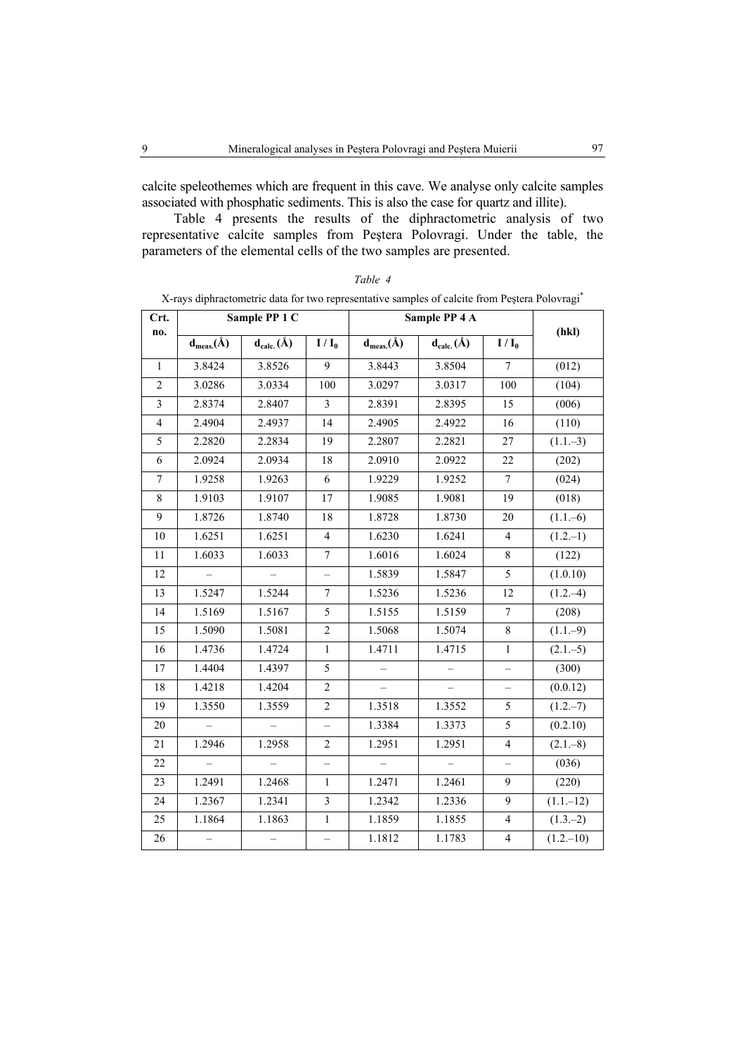calcite speleothemes which are frequent in this cave. We analyse only calcite samples associated with phosphatic sediments. This is also the case for quartz and illite).

Table 4 presents the results of the diphractometric analysis of two representative calcite samples from Peştera Polovragi. Under the table, the parameters of the elemental cells of the two samples are presented.

| Crt.            |                     | Sample PP 1 C            |                          |                          | Sample PP 4 A    |                          |              |
|-----------------|---------------------|--------------------------|--------------------------|--------------------------|------------------|--------------------------|--------------|
| no.             | $d_{meas.}(\AA)$    | $d_{calc.}(\AA)$         | $I / I_0$                | $d_{meas.}(\AA)$         | $d_{calc.}(\AA)$ | $I / I_0$                | (hkl)        |
| $\mathbf{1}$    | 3.8424              | 3.8526                   | 9                        | 3.8443                   | 3.8504           | $\boldsymbol{7}$         | (012)        |
| $\overline{2}$  | 3.0286              | 3.0334                   | 100                      | 3.0297                   | 3.0317           | 100                      | (104)        |
| $\mathfrak{Z}$  | 2.8374              | 2.8407                   | $\mathfrak{Z}$           | 2.8391                   | 2.8395           | 15                       | (006)        |
| $\overline{4}$  | 2.4904              | 2.4937                   | 14                       | 2.4905                   | 2.4922           | 16                       | (110)        |
| 5               | 2.2820              | 2.2834                   | 19                       | 2.2807                   | 2.2821           | $27\,$                   | $(1.1,-3)$   |
| 6               | 2.0924              | 2.0934                   | 18                       | 2.0910                   | 2.0922           | 22                       | (202)        |
| $7\phantom{.0}$ | 1.9258              | 1.9263                   | 6                        | 1.9229                   | 1.9252           | $\boldsymbol{7}$         | (024)        |
| 8               | 1.9103              | 1.9107                   | 17                       | 1.9085                   | 1.9081           | 19                       | (018)        |
| 9               | 1.8726              | 1.8740                   | 18                       | 1.8728                   | 1.8730           | 20                       | $(1.1,-6)$   |
| 10              | 1.6251              | 1.6251                   | $\overline{4}$           | 1.6230                   | 1.6241           | $\overline{4}$           | $(1.2,-1)$   |
| $11\,$          | 1.6033              | 1.6033                   | $\overline{7}$           | 1.6016                   | 1.6024           | $\,8\,$                  | (122)        |
| 12              |                     |                          | $\overline{\phantom{0}}$ | 1.5839                   | 1.5847           | $\overline{5}$           | (1.0.10)     |
| 13              | 1.5247              | 1.5244                   | 7                        | 1.5236                   | 1.5236           | 12                       | $(1.2,-4)$   |
| 14              | 1.5169              | 1.5167                   | 5                        | 1.5155                   | 1.5159           | $\boldsymbol{7}$         | (208)        |
| 15              | $\overline{1.5090}$ | 1.5081                   | $\overline{c}$           | 1.5068                   | 1.5074           | $\,8\,$                  | $(1.1,-9)$   |
| 16              | 1.4736              | 1.4724                   | $\,1$                    | 1.4711                   | 1.4715           | $\,1$                    | $(2.1 - 5)$  |
| 17              | 1.4404              | 1.4397                   | 5                        | $\equiv$                 | $\equiv$         | $\overline{\phantom{0}}$ | (300)        |
| 18              | 1.4218              | 1.4204                   | $\overline{c}$           | $\overline{\phantom{0}}$ |                  | $\overline{\phantom{0}}$ | (0.0.12)     |
| 19              | 1.3550              | 1.3559                   | $\sqrt{2}$               | 1.3518                   | 1.3552           | $\mathfrak s$            | $(1.2,-7)$   |
| 20              |                     |                          |                          | 1.3384                   | 1.3373           | 5                        | (0.2.10)     |
| 21              | 1.2946              | 1.2958                   | $\overline{c}$           | 1.2951                   | 1.2951           | $\overline{\mathbf{4}}$  | $(2.1 - 8)$  |
| 22              |                     | $\overline{a}$           | $\overline{\phantom{0}}$ | $\equiv$                 |                  | $\overline{\phantom{0}}$ | (036)        |
| 23              | 1.2491              | 1.2468                   | $\mathbf{1}$             | 1.2471                   | 1.2461           | 9                        | (220)        |
| 24              | 1.2367              | 1.2341                   | $\mathfrak{Z}$           | 1.2342                   | 1.2336           | 9                        | $(1.1 - 12)$ |
| 25              | 1.1864              | 1.1863                   | $\,1$                    | 1.1859                   | 1.1855           | $\overline{4}$           | $(1.3-2)$    |
| 26              | $\qquad \qquad -$   | $\overline{\phantom{0}}$ | $\overline{\phantom{0}}$ | 1.1812                   | 1.1783           | $\overline{4}$           | $(1.2,-10)$  |

| anı |  |
|-----|--|
|-----|--|

X-rays diphractometric data for two representative samples of calcite from Peştera Polovragi\*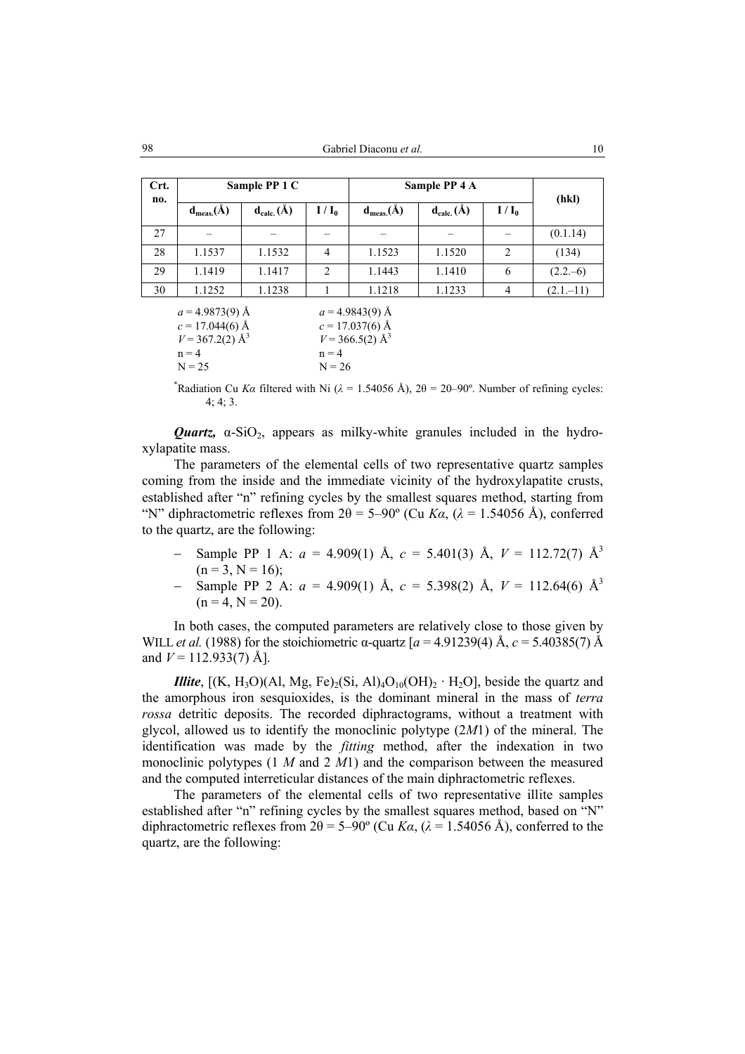| Crt.<br>no. |                | Sample PP 1 C  |                |                | Sample PP 4 A  |                |              |  |
|-------------|----------------|----------------|----------------|----------------|----------------|----------------|--------------|--|
|             | $d_{meas.}(A)$ | $d_{calc.}(A)$ | $I/I_0$        | $d_{meas.}(A)$ | $d_{calc.}(A)$ | $I/I_0$        | (hkl)        |  |
| 27          |                |                |                |                |                |                | (0.1.14)     |  |
| 28          | 1.1537         | 1.1532         | $\overline{4}$ | 1.1523         | 1.1520         | $\overline{2}$ | (134)        |  |
| 29          | 1.1419         | 1.1417         | 2              | 1.1443         | 1.1410         | 6              | $(2.2,-6)$   |  |
| 30          | 1.1252         | 1.1238         |                | 1.1218         | 1.1233         | 4              | $(2.1 - 11)$ |  |
|             |                |                |                |                |                |                |              |  |

| $a = 4.9873(9)$ Å             | $a = 4.9843(9)$ Å             |
|-------------------------------|-------------------------------|
| $c = 17.044(6)$ Å             | $c = 17.037(6)$ Å             |
| $V = 367.2(2)$ Å <sup>3</sup> | $V = 366.5(2)$ Å <sup>3</sup> |
| $n = 4$                       | $n = 4$                       |
| $N = 25$                      | $N = 26$                      |

<sup>\*</sup>Radiation Cu *Ka* filtered with Ni ( $\lambda$  = 1.54056 Å), 2 $\theta$  = 20–90°. Number of refining cycles: 4; 4; 3.

*Quartz*,  $\alpha$ -SiO<sub>2</sub>, appears as milky-white granules included in the hydroxylapatite mass.

The parameters of the elemental cells of two representative quartz samples coming from the inside and the immediate vicinity of the hydroxylapatite crusts, established after "n" refining cycles by the smallest squares method, starting from "N" diphractometric reflexes from  $2\theta = 5-90^{\circ}$  (Cu  $Ka$ ,  $(\lambda = 1.54056 \text{ Å})$ , conferred to the quartz, are the following:

- − Sample PP 1 A: *a* = 4.909(1) Å, *c* = 5.401(3) Å, *V* = 112.72(7) Å<sup>3</sup>  $(n = 3, N = 16)$ ;
- − Sample PP 2 A: *a* = 4.909(1) Å, *c* = 5.398(2) Å, *V* = 112.64(6) Å<sup>3</sup>  $(n = 4, N = 20)$ .

In both cases, the computed parameters are relatively close to those given by WILL *et al.* (1988) for the stoichiometric α-quartz  $[a = 4.91239(4)$  Å,  $c = 5.40385(7)$  Å and  $V = 112.933(7)$  Å.

*Illite*,  $[(K, H<sub>3</sub>O)(Al, Mg, Fe)<sub>2</sub>(Si, Al)<sub>4</sub>O<sub>10</sub>(OH)<sub>2</sub> · H<sub>2</sub>O]$ , beside the quartz and the amorphous iron sesquioxides, is the dominant mineral in the mass of *terra rossa* detritic deposits. The recorded diphractograms, without a treatment with glycol, allowed us to identify the monoclinic polytype (2*M*1) of the mineral. The identification was made by the *fitting* method, after the indexation in two monoclinic polytypes (1 *M* and 2 *M*1) and the comparison between the measured and the computed interreticular distances of the main diphractometric reflexes.

The parameters of the elemental cells of two representative illite samples established after "n" refining cycles by the smallest squares method, based on "N" diphractometric reflexes from  $2\theta = 5-90^{\circ}$  (Cu *Ka*, ( $\lambda = 1.54056$  Å), conferred to the quartz, are the following: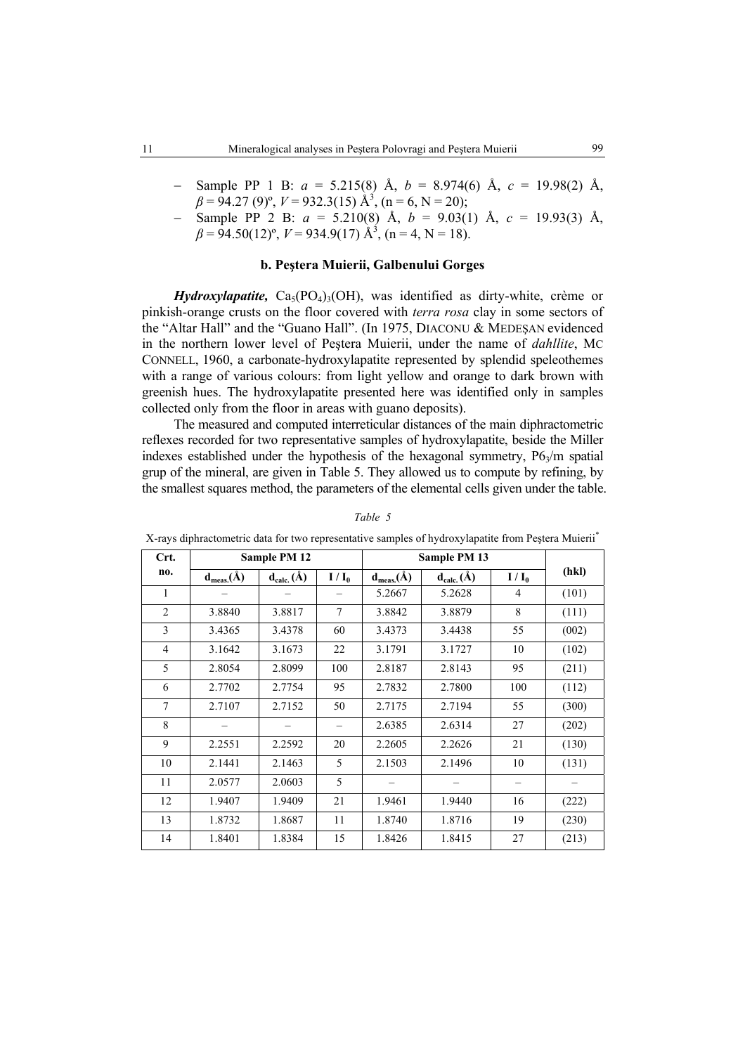- − Sample PP 1 B: *a* = 5.215(8) Å, *b* = 8.974(6) Å, *c* = 19.98(2) Å,  $\beta = 94.27 (9)$ °,  $V = 932.3(15) \text{ Å}^3$ ,  $(n = 6, N = 20)$ ;
- − Sample PP 2 B: *a* = 5.210(8) Å, *b* = 9.03(1) Å, *c* = 19.93(3) Å,  $\beta = 94.50(12)^{\circ}, V = 934.9(17) \text{ Å}^3, (p = 4, N = 18).$

## **b. Peştera Muierii, Galbenului Gorges**

*Hydroxylapatite,*  $Ca<sub>5</sub>(PO<sub>4</sub>)<sub>3</sub>(OH)$ , was identified as dirty-white, crème or pinkish-orange crusts on the floor covered with *terra rosa* clay in some sectors of the "Altar Hall" and the "Guano Hall". (In 1975, DIACONU & MEDEŞAN evidenced in the northern lower level of Peştera Muierii, under the name of *dahllite*, MC CONNELL, 1960, a carbonate-hydroxylapatite represented by splendid speleothemes with a range of various colours: from light yellow and orange to dark brown with greenish hues. The hydroxylapatite presented here was identified only in samples collected only from the floor in areas with guano deposits).

The measured and computed interreticular distances of the main diphractometric reflexes recorded for two representative samples of hydroxylapatite, beside the Miller indexes established under the hypothesis of the hexagonal symmetry,  $P6<sub>3</sub>/m$  spatial grup of the mineral, are given in Table 5. They allowed us to compute by refining, by the smallest squares method, the parameters of the elemental cells given under the table.

| Crt.           |                  | <b>Sample PM 12</b> |         |                  | Sample PM 13     |         |       |
|----------------|------------------|---------------------|---------|------------------|------------------|---------|-------|
| no.            | $d_{meas.}(\AA)$ | $d_{calc.}(\AA)$    | $I/I_0$ | $d_{meas.}(\AA)$ | $d_{calc.}(\AA)$ | $I/I_0$ | (hkl) |
| 1              |                  |                     |         | 5.2667           | 5.2628           | 4       | (101) |
| $\overline{2}$ | 3.8840           | 3.8817              | 7       | 3.8842           | 3.8879           | 8       | (111) |
| 3              | 3.4365           | 3.4378              | 60      | 3.4373           | 3.4438           | 55      | (002) |
| $\overline{4}$ | 3.1642           | 3.1673              | 22      | 3.1791           | 3.1727           | 10      | (102) |
| 5              | 2.8054           | 2.8099              | 100     | 2.8187           | 2.8143           | 95      | (211) |
| 6              | 2.7702           | 2.7754              | 95      | 2.7832           | 2.7800           | 100     | (112) |
| 7              | 2.7107           | 2.7152              | 50      | 2.7175           | 2.7194           | 55      | (300) |
| 8              |                  |                     |         | 2.6385           | 2.6314           | 27      | (202) |
| 9              | 2.2551           | 2.2592              | 20      | 2.2605           | 2.2626           | 21      | (130) |
| 10             | 2.1441           | 2.1463              | 5       | 2.1503           | 2.1496           | 10      | (131) |
| 11             | 2.0577           | 2.0603              | 5       |                  |                  |         |       |
| 12             | 1.9407           | 1.9409              | 21      | 1.9461           | 1.9440           | 16      | (222) |
| 13             | 1.8732           | 1.8687              | 11      | 1.8740           | 1.8716           | 19      | (230) |
| 14             | 1.8401           | 1.8384              | 15      | 1.8426           | 1.8415           | 27      | (213) |

*Table 5* 

X-rays diphractometric data for two representative samples of hydroxylapatite from Peştera Muierii\*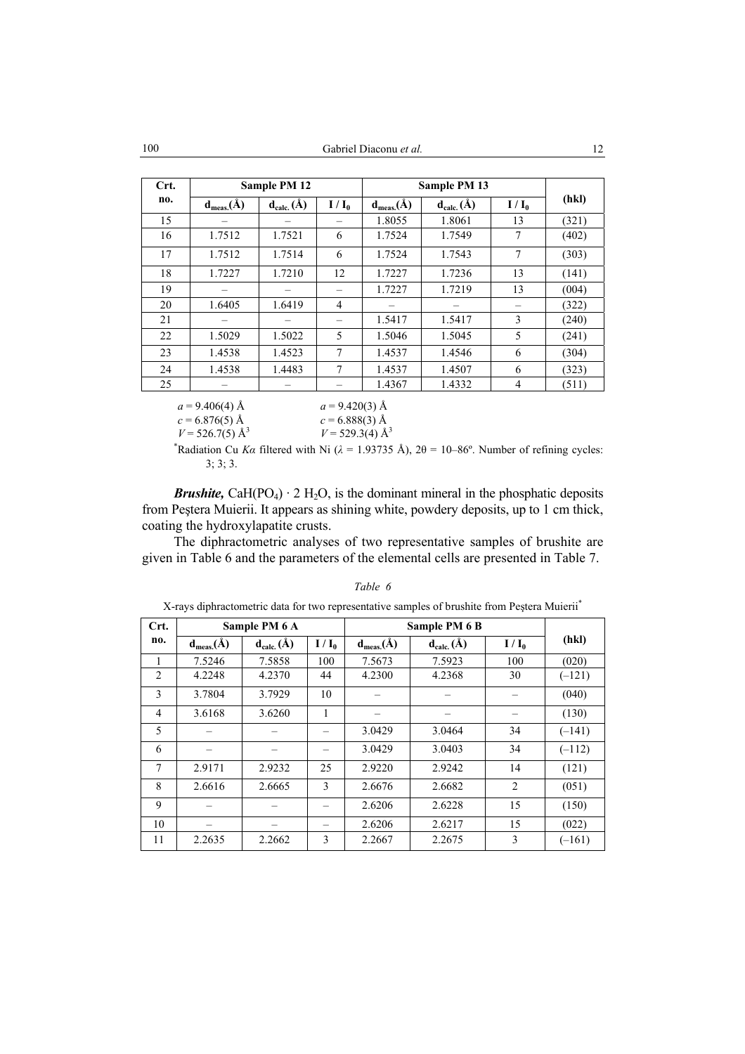| Crt. |                  | Sample PM 12     |                |                  | Sample PM 13     |         |       |
|------|------------------|------------------|----------------|------------------|------------------|---------|-------|
| no.  | $d_{meas.}(\AA)$ | $d_{calc.}(\AA)$ | $I/I_0$        | $d_{meas.}(\AA)$ | $d_{calc.}(\AA)$ | $I/I_0$ | (hkl) |
| 15   |                  |                  |                | 1.8055           | 1.8061           | 13      | (321) |
| 16   | 1.7512           | 1.7521           | 6              | 1.7524           | 1.7549           | 7       | (402) |
| 17   | 1.7512           | 1.7514           | 6              | 1.7524           | 1.7543           | 7       | (303) |
| 18   | 1.7227           | 1.7210           | 12             | 1.7227           | 1.7236           | 13      | (141) |
| 19   |                  |                  |                | 1.7227           | 1.7219           | 13      | (004) |
| 20   | 1.6405           | 1.6419           | $\overline{4}$ |                  |                  |         | (322) |
| 21   |                  |                  |                | 1.5417           | 1.5417           | 3       | (240) |
| 22   | 1.5029           | 1.5022           | 5              | 1.5046           | 1.5045           | 5       | (241) |
| 23   | 1.4538           | 1.4523           | 7              | 1.4537           | 1.4546           | 6       | (304) |
| 24   | 1.4538           | 1.4483           | 7              | 1.4537           | 1.4507           | 6       | (323) |
| 25   |                  |                  |                | 1.4367           | 1.4332           | 4       | (511) |

 $a = 9.406(4)$  Å  $a = 9.420(3)$  Å<br>  $c = 6.876(5)$  Å  $c = 6.888(3)$  Å  $c = 6.876(5)$  Å  $V = 526.7(5)$  Å<sup>3</sup>  $V = 529.3(4)$  Å<sup>3</sup>

\*Radiation Cu *Ka* filtered with Ni ( $\lambda$  = 1.93735 Å), 2 $\theta$  = 10–86°. Number of refining cycles: 3; 3; 3.

*Brushite,* CaH(PO<sub>4</sub>)  $\cdot$  2 H<sub>2</sub>O, is the dominant mineral in the phosphatic deposits from Peştera Muierii. It appears as shining white, powdery deposits, up to 1 cm thick, coating the hydroxylapatite crusts.

The diphractometric analyses of two representative samples of brushite are given in Table 6 and the parameters of the elemental cells are presented in Table 7.

| Crt. |                  |                  |         |                  |                  |         |          |
|------|------------------|------------------|---------|------------------|------------------|---------|----------|
|      |                  | Sample PM 6 A    |         |                  | Sample PM 6 B    |         |          |
| no.  | $d_{meas.}(\AA)$ | $d_{calc.}(\AA)$ | $I/I_0$ | $d_{meas.}(\AA)$ | $d_{calc.}(\AA)$ | $I/I_0$ | (hkl)    |
|      | 7.5246           | 7.5858           | 100     | 7.5673           | 7.5923           | 100     | (020)    |
| 2    | 4.2248           | 4.2370           | 44      | 4.2300           | 4.2368           | 30      | $(-121)$ |
| 3    | 3.7804           | 3.7929           | 10      |                  |                  |         | (040)    |
| 4    | 3.6168           | 3.6260           | 1       |                  |                  |         | (130)    |
| 5    |                  |                  |         | 3.0429           | 3.0464           | 34      | $(-141)$ |
| 6    |                  |                  |         | 3.0429           | 3.0403           | 34      | $(-112)$ |
| 7    | 2.9171           | 2.9232           | 25      | 2.9220           | 2.9242           | 14      | (121)    |
| 8    | 2.6616           | 2.6665           | 3       | 2.6676           | 2.6682           | 2       | (051)    |
| 9    |                  |                  |         | 2.6206           | 2.6228           | 15      | (150)    |
| 10   |                  |                  |         | 2.6206           | 2.6217           | 15      | (022)    |
| 11   | 2.2635           | 2.2662           | 3       | 2.2667           | 2.2675           | 3       | $(-161)$ |

#### *Table 6*

X-rays diphractometric data for two representative samples of brushite from Peştera Muierii\*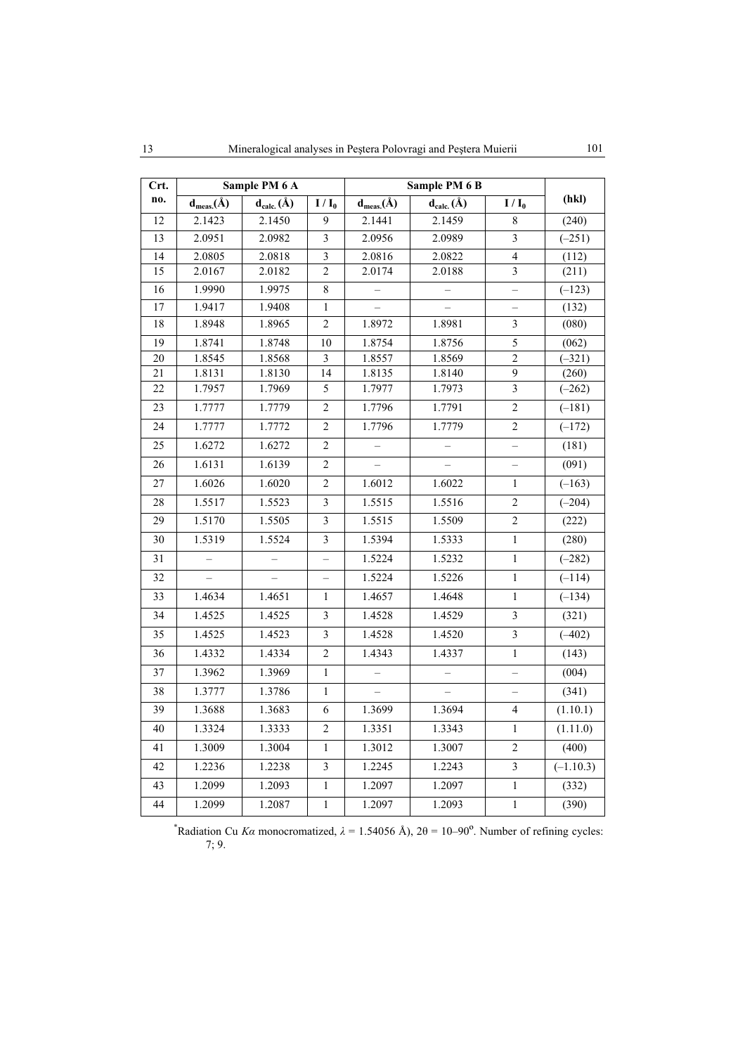| Crt.            |                  | Sample PM 6 A    |                          |                  | Sample PM 6 B            |                          |                     |
|-----------------|------------------|------------------|--------------------------|------------------|--------------------------|--------------------------|---------------------|
| no.             | $d_{meas.}(\AA)$ | $d_{calc.}(\AA)$ | $I/I_0$                  | $d_{meas.}(\AA)$ | $d_{calc.}(\AA)$         | $I/I_0$                  | (hkl)               |
| 12              | 2.1423           | 2.1450           | 9                        | 2.1441           | 2.1459                   | $\,8\,$                  | (240)               |
| 13              | 2.0951           | 2.0982           | $\overline{\mathbf{3}}$  | 2.0956           | 2.0989                   | 3                        | $(-251)$            |
| 14              | 2.0805           | 2.0818           | $\mathfrak{Z}$           | 2.0816           | 2.0822                   | $\overline{4}$           | (112)               |
| 15              | 2.0167           | 2.0182           | $\overline{2}$           | 2.0174           | 2.0188                   | $\overline{3}$           | (211)               |
| 16              | 1.9990           | 1.9975           | $\,$ $\,$                |                  |                          | -                        | $\overline{(-123)}$ |
| 17              | 1.9417           | 1.9408           | $\mathbf{1}$             |                  |                          | $\overline{\phantom{0}}$ | (132)               |
| 18              | 1.8948           | 1.8965           | $\overline{2}$           | 1.8972           | 1.8981                   | 3                        | (080)               |
| 19              | 1.8741           | 1.8748           | 10                       | 1.8754           | 1.8756                   | 5                        | (062)               |
| 20              | 1.8545           | 1.8568           | 3                        | 1.8557           | 1.8569                   | $\overline{2}$           | $(-321)$            |
| 21              | 1.8131           | 1.8130           | 14                       | 1.8135           | 1.8140                   | $\boldsymbol{9}$         | (260)               |
| 22              | 1.7957           | 1.7969           | 5                        | 1.7977           | 1.7973                   | $\overline{\mathbf{3}}$  | $(-262)$            |
| 23              | 1.7777           | 1.7779           | $\overline{c}$           | 1.7796           | 1.7791                   | $\overline{c}$           | $(-181)$            |
| 24              | 1.7777           | 1.7772           | $\overline{2}$           | 1.7796           | 1.7779                   | $\sqrt{2}$               | $(-172)$            |
| 25              | 1.6272           | 1.6272           | $\mathbf{2}$             |                  |                          | -                        | (181)               |
| 26              | 1.6131           | 1.6139           | $\overline{c}$           |                  |                          | $\overline{\phantom{0}}$ | (091)               |
| 27              | 1.6026           | 1.6020           | $\overline{c}$           | 1.6012           | 1.6022                   | $\mathbf{1}$             | $(-163)$            |
| 28              | 1.5517           | 1.5523           | $\overline{3}$           | 1.5515           | 1.5516                   | $\sqrt{2}$               | $(-204)$            |
| 29              | 1.5170           | 1.5505           | $\overline{3}$           | 1.5515           | 1.5509                   | $\sqrt{2}$               | (222)               |
| 30              | 1.5319           | 1.5524           | $\overline{3}$           | 1.5394           | 1.5333                   | $\,1$                    | (280)               |
| 31              | $\equiv$         | $\equiv$         | $\overline{\phantom{0}}$ | 1.5224           | 1.5232                   | $\mathbf{1}$             | $(-282)$            |
| 32              |                  |                  | $\overline{\phantom{0}}$ | 1.5224           | 1.5226                   | $\mathbf{1}$             | $(-114)$            |
| 33              | 1.4634           | 1.4651           | $\mathbf{1}$             | 1.4657           | 1.4648                   | $\,1$                    | $(-134)$            |
| 34              | 1.4525           | 1.4525           | $\overline{3}$           | 1.4528           | 1.4529                   | $\overline{3}$           | (321)               |
| 35              | 1.4525           | 1.4523           | $\overline{\mathbf{3}}$  | 1.4528           | 1.4520                   | $\mathfrak z$            | $(-402)$            |
| 36              | 1.4332           | 1.4334           | $\sqrt{2}$               | 1.4343           | 1.4337                   | $\,1$                    | (143)               |
| 37              | 1.3962           | 1.3969           | $\mathbf{1}$             | $\overline{a}$   | $\overline{\phantom{0}}$ | $\overline{\phantom{0}}$ | (004)               |
| 38              | 1.3777           | 1.3786           | $\mathbf{1}$             |                  |                          | $\overline{\phantom{0}}$ | (341)               |
| $\overline{39}$ | 1.3688           | 1.3683           | $\overline{6}$           | 1.3699           | 1.3694                   | $\overline{4}$           | (1.10.1)            |
| 40              | 1.3324           | 1.3333           | $\overline{2}$           | 1.3351           | 1.3343                   | $\mathbf{1}$             | (1.11.0)            |
| 41              | 1.3009           | 1.3004           | $\mathbf{1}$             | 1.3012           | 1.3007                   | $\overline{c}$           | (400)               |
| 42              | 1.2236           | 1.2238           | $\overline{3}$           | 1.2245           | 1.2243                   | $\overline{\mathbf{3}}$  | $(-1.10.3)$         |
| 43              | 1.2099           | 1.2093           | $\mathbf{1}$             | 1.2097           | 1.2097                   | $\,1$                    | (332)               |
| 44              | 1.2099           | 1.2087           | $\mathbf{1}$             | 1.2097           | 1.2093                   | $\,1$                    | (390)               |

\*Radiation Cu *Ka* monocromatized,  $\lambda = 1.54056$  Å),  $2\theta = 10-90^\circ$ . Number of refining cycles: 7; 9.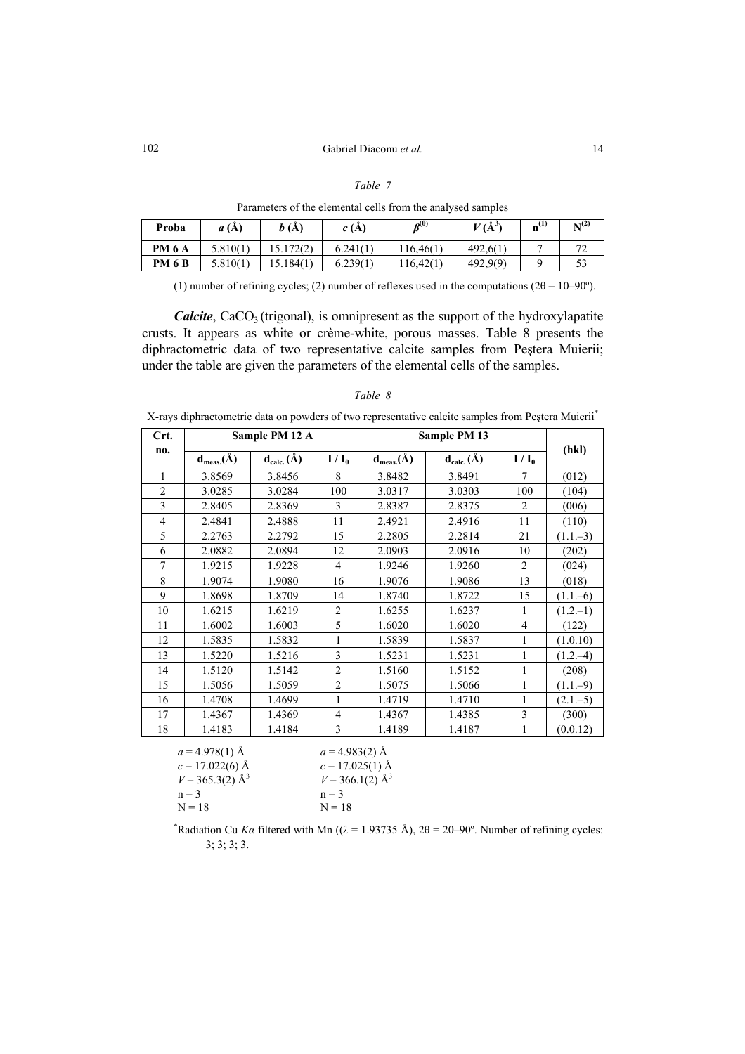|--|--|

**Proba** *a* **(Å)** *b* **(Å)** *c* **(Å) <b>** $\beta^{(0)}$  *<b><i>V* (Å<sup>3</sup>)  $V(A^3)$  **n**<sup>(1)</sup> N<sup>(2)</sup> **PM 6 A** | 5.810(1) | 15.172(2) | 6.241(1) | 116,46(1) | 492,6(1) | 7 | 72 **PM 6 B** | 5.810(1) | 15.184(1) | 6.239(1) | 116,42(1) | 492,9(9) | 9 | 53

Parameters of the elemental cells from the analysed samples

(1) number of refining cycles; (2) number of reflexes used in the computations ( $2\theta = 10-90^\circ$ ).

*Calcite*, CaCO<sub>3</sub> (trigonal), is omnipresent as the support of the hydroxylapatite crusts. It appears as white or crème-white, porous masses. Table 8 presents the diphractometric data of two representative calcite samples from Peştera Muierii; under the table are given the parameters of the elemental cells of the samples.

| Crt.           |                  | Sample PM 12 A         |                |                  | Sample PM 13                            |                |             |
|----------------|------------------|------------------------|----------------|------------------|-----------------------------------------|----------------|-------------|
| no.            | $d_{meas.}(\AA)$ | $d_{calc.}(\check{A})$ | $I/I_0$        | $d_{meas.}(\AA)$ | $\mathbf{d}_{\text{calc.}}(\mathbf{A})$ | $I/I_0$        | (hkl)       |
| 1              | 3.8569           | 3.8456                 | 8              | 3.8482           | 3.8491                                  | 7              | (012)       |
| $\overline{c}$ | 3.0285           | 3.0284                 | 100            | 3.0317           | 3.0303                                  | 100            | (104)       |
| 3              | 2.8405           | 2.8369                 | 3              | 2.8387           | 2.8375                                  | $\overline{2}$ | (006)       |
| $\overline{4}$ | 2.4841           | 2.4888                 | 11             | 2.4921           | 2.4916                                  | 11             | (110)       |
| 5              | 2.2763           | 2.2792                 | 15             | 2.2805           | 2.2814                                  | 21             | $(1.1,-3)$  |
| 6              | 2.0882           | 2.0894                 | 12             | 2.0903           | 2.0916                                  | 10             | (202)       |
| 7              | 1.9215           | 1.9228                 | $\overline{4}$ | 1.9246           | 1.9260                                  | $\overline{2}$ | (024)       |
| 8              | 1.9074           | 1.9080                 | 16             | 1.9076           | 1.9086                                  | 13             | (018)       |
| 9              | 1.8698           | 1.8709                 | 14             | 1.8740           | 1.8722                                  | 15             | $(1.1 - 6)$ |
| 10             | 1.6215           | 1.6219                 | $\overline{2}$ | 1.6255           | 1.6237                                  | 1              | $(1.2,-1)$  |
| 11             | 1.6002           | 1.6003                 | 5              | 1.6020           | 1.6020                                  | 4              | (122)       |
| 12             | 1.5835           | 1.5832                 | 1              | 1.5839           | 1.5837                                  | 1              | (1.0.10)    |
| 13             | 1.5220           | 1.5216                 | 3              | 1.5231           | 1.5231                                  | 1              | $(1.2,-4)$  |
| 14             | 1.5120           | 1.5142                 | $\overline{2}$ | 1.5160           | 1.5152                                  | 1              | (208)       |
| 15             | 1.5056           | 1.5059                 | $\overline{2}$ | 1.5075           | 1.5066                                  | 1              | $(1.1,-9)$  |
| 16             | 1.4708           | 1.4699                 | 1              | 1.4719           | 1.4710                                  | 1              | $(2.1 - 5)$ |
| 17             | 1.4367           | 1.4369                 | $\overline{4}$ | 1.4367           | 1.4385                                  | 3              | (300)       |
| 18             | 1.4183           | 1.4184                 | 3              | 1.4189           | 1.4187                                  | 1              | (0.0.12)    |
|                |                  |                        |                |                  |                                         |                |             |

| αr<br>יי |  |
|----------|--|
|----------|--|

X-rays diphractometric data on powders of two representative calcite samples from Peştera Muierii\*

| $a = 4.978(1)$ Å              | $a = 4.983(2)$ Å              |
|-------------------------------|-------------------------------|
| $c = 17.022(6)$ Å             | $c = 17.025(1)$ Å             |
| $V = 365.3(2)$ Å <sup>3</sup> | $V = 366.1(2)$ Å <sup>3</sup> |
| $n = 3$                       | $n = 3$                       |
| $N = 18$                      | $N = 18$                      |
|                               |                               |

<sup>\*</sup>Radiation Cu *Kα* filtered with Mn (( $\lambda$  = 1.93735 Å), 2θ = 20–90°. Number of refining cycles: 3; 3; 3; 3.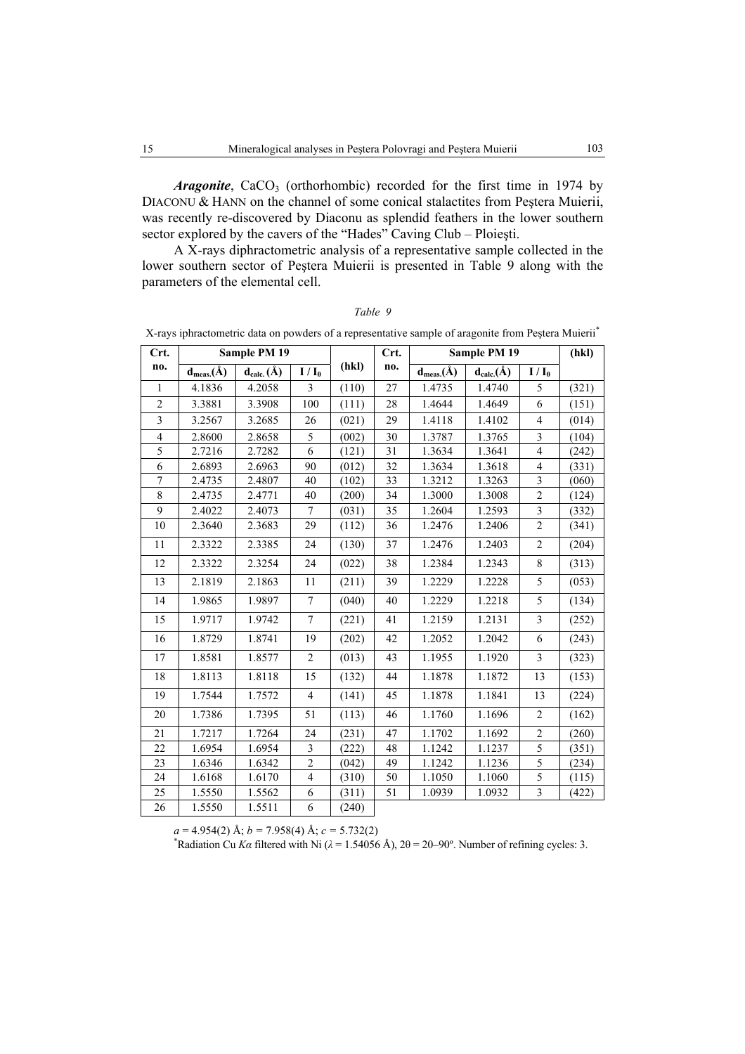*Aragonite*, CaCO<sub>3</sub> (orthorhombic) recorded for the first time in 1974 by DIACONU & HANN on the channel of some conical stalactites from Peștera Muierii, was recently re-discovered by Diaconu as splendid feathers in the lower southern sector explored by the cavers of the "Hades" Caving Club – Ploieşti.

A X-rays diphractometric analysis of a representative sample collected in the lower southern sector of Peştera Muierii is presented in Table 9 along with the parameters of the elemental cell.

|                         | X-rays iphractometric data on powders of a representative sample of aragonite from Pestera Muierii <sup>*</sup> |                  |                |       |        |                  |                  |                         |       |
|-------------------------|-----------------------------------------------------------------------------------------------------------------|------------------|----------------|-------|--------|------------------|------------------|-------------------------|-------|
| Crt.                    |                                                                                                                 | Sample PM 19     |                |       | Crt.   |                  | Sample PM 19     |                         | (hkl) |
| no.                     | $d_{meas.}(\AA)$                                                                                                | $d_{calc.}(\AA)$ | $I/I_0$        | (hkl) | no.    | $d_{meas.}(\AA)$ | $d_{calc.}(\AA)$ | $I/I_0$                 |       |
| $\mathbf{1}$            | 4.1836                                                                                                          | 4.2058           | $\overline{3}$ | (110) | $27\,$ | 1.4735           | 1.4740           | 5                       | (321) |
| $\overline{c}$          | 3.3881                                                                                                          | 3.3908           | 100            | (111) | 28     | 1.4644           | 1.4649           | 6                       | (151) |
| $\overline{3}$          | 3.2567                                                                                                          | 3.2685           | 26             | (021) | 29     | 1.4118           | 1.4102           | $\overline{4}$          | (014) |
| $\overline{\mathbf{4}}$ | 2.8600                                                                                                          | 2.8658           | 5              | (002) | 30     | 1.3787           | 1.3765           | $\overline{\mathbf{3}}$ | (104) |
| 5                       | 2.7216                                                                                                          | 2.7282           | 6              | (121) | 31     | 1.3634           | 1.3641           | $\overline{4}$          | (242) |
| 6                       | 2.6893                                                                                                          | 2.6963           | 90             | (012) | 32     | 1.3634           | 1.3618           | $\overline{4}$          | (331) |
| $\overline{7}$          | 2.4735                                                                                                          | 2.4807           | 40             | (102) | 33     | 1.3212           | 1.3263           | $\mathfrak{Z}$          | (060) |
| 8                       | 2.4735                                                                                                          | 2.4771           | 40             | (200) | 34     | 1.3000           | 1.3008           | $\overline{2}$          | (124) |
| 9                       | 2.4022                                                                                                          | 2.4073           | $\tau$         | (031) | 35     | 1.2604           | 1.2593           | $\mathfrak z$           | (332) |
| 10                      | 2.3640                                                                                                          | 2.3683           | 29             | (112) | 36     | 1.2476           | 1.2406           | $\overline{c}$          | (341) |
| 11                      | 2.3322                                                                                                          | 2.3385           | 24             | (130) | 37     | 1.2476           | 1.2403           | $\overline{2}$          | (204) |
| 12                      | 2.3322                                                                                                          | 2.3254           | 24             | (022) | 38     | 1.2384           | 1.2343           | $\,8\,$                 | (313) |
| 13                      | 2.1819                                                                                                          | 2.1863           | 11             | (211) | 39     | 1.2229           | 1.2228           | 5                       | (053) |
| 14                      | 1.9865                                                                                                          | 1.9897           | $\tau$         | (040) | 40     | 1.2229           | 1.2218           | 5                       | (134) |
| 15                      | 1.9717                                                                                                          | 1.9742           | $\overline{7}$ | (221) | 41     | 1.2159           | 1.2131           | $\mathfrak{Z}$          | (252) |
| 16                      | 1.8729                                                                                                          | 1.8741           | 19             | (202) | 42     | 1.2052           | 1.2042           | 6                       | (243) |
| 17                      | 1.8581                                                                                                          | 1.8577           | $\overline{c}$ | (013) | 43     | 1.1955           | 1.1920           | $\overline{3}$          | (323) |
| 18                      | 1.8113                                                                                                          | 1.8118           | 15             | (132) | 44     | 1.1878           | 1.1872           | 13                      | (153) |
| 19                      | 1.7544                                                                                                          | 1.7572           | $\overline{4}$ | (141) | 45     | 1.1878           | 1.1841           | 13                      | (224) |
| 20                      | 1.7386                                                                                                          | 1.7395           | 51             | (113) | 46     | 1.1760           | 1.1696           | $\overline{2}$          | (162) |
| 21                      | 1.7217                                                                                                          | 1.7264           | 24             | (231) | 47     | 1.1702           | 1.1692           | $\overline{2}$          | (260) |
| 22                      | 1.6954                                                                                                          | 1.6954           | 3              | (222) | 48     | 1.1242           | 1.1237           | 5                       | (351) |
| 23                      | 1.6346                                                                                                          | 1.6342           | $\overline{2}$ | (042) | 49     | 1.1242           | 1.1236           | $\overline{5}$          | (234) |
| 24                      | 1.6168                                                                                                          | 1.6170           | $\overline{4}$ | (310) | 50     | 1.1050           | 1.1060           | 5                       | (115) |
| 25                      | 1.5550                                                                                                          | 1.5562           | 6              | (311) | 51     | 1.0939           | 1.0932           | $\overline{\mathbf{3}}$ | (422) |
| 26                      | 1.5550                                                                                                          | 1.5511           | 6              | (240) |        |                  |                  |                         |       |

|  |  | Table 9                                                                |  |  |
|--|--|------------------------------------------------------------------------|--|--|
|  |  | matria data an navidara af a ranzagantativa sampla af araganita fram D |  |  |

 $a = 4.954(2)$  Å;  $b = 7.958(4)$  Å;  $c = 5.732(2)$ 

<sup>\*</sup>Radiation Cu *Ka* filtered with Ni ( $\lambda$  = 1.54056 Å), 2θ = 20–90°. Number of refining cycles: 3.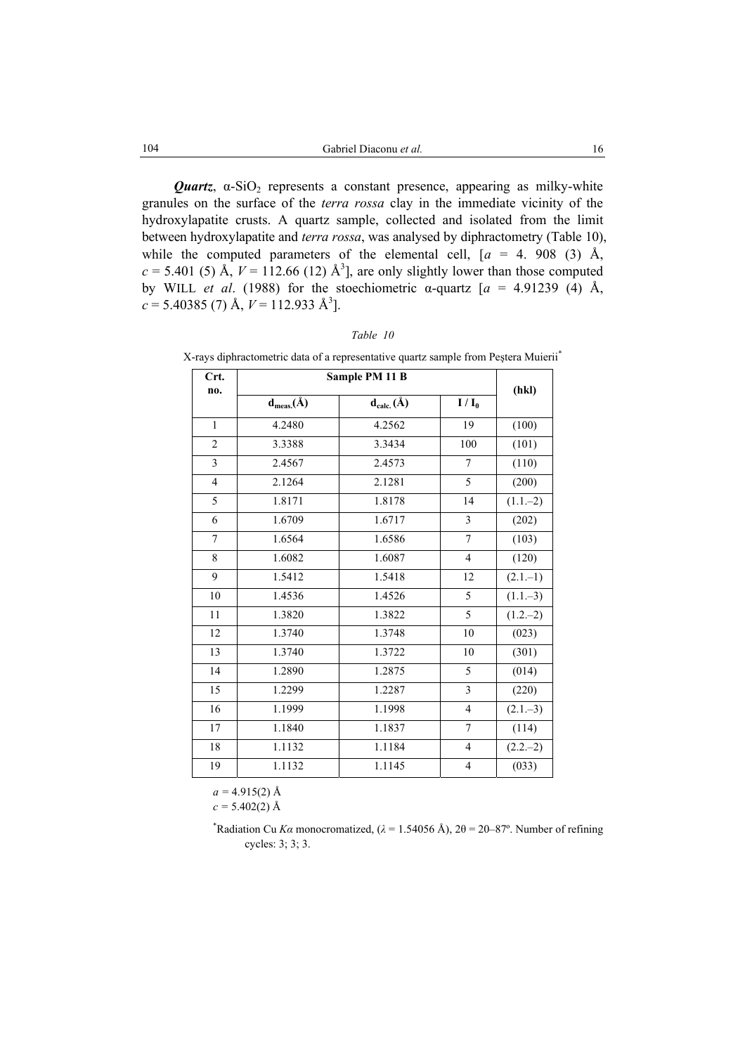*Quartz*,  $\alpha$ -SiO<sub>2</sub> represents a constant presence, appearing as milky-white granules on the surface of the *terra rossa* clay in the immediate vicinity of the hydroxylapatite crusts. A quartz sample, collected and isolated from the limit between hydroxylapatite and *terra rossa*, was analysed by diphractometry (Table 10), while the computed parameters of the elemental cell,  $[a = 4, 908, (3), \text{Å},$  $c = 5.401$  (5) Å,  $V = 112.66$  (12) Å<sup>3</sup>, are only slightly lower than those computed by WILL *et al*. (1988) for the stoechiometric α-quartz [*a* = 4.91239 (4) Å,  $c = 5.40385$  (7) Å,  $V = 112.933$  Å<sup>3</sup>].

| Crt.<br>no.             |                  | Sample PM 11 B   |                          | (hkl)       |
|-------------------------|------------------|------------------|--------------------------|-------------|
|                         | $d_{meas.}(\AA)$ | $d_{calc.}(\AA)$ | $I/I_0$                  |             |
| $\mathbf{1}$            | 4.2480           | 4.2562           | 19                       | (100)       |
| $\overline{c}$          | 3.3388           | 3.3434           | 100                      | (101)       |
| $\overline{\mathbf{3}}$ | 2.4567           | 2.4573           | $\overline{7}$           | (110)       |
| $\overline{4}$          | 2.1264           | 2.1281           | 5                        | (200)       |
| 5                       | 1.8171           | 1.8178           | 14                       | $(1.1,-2)$  |
| 6                       | 1.6709           | 1.6717           | $\mathfrak{Z}$           | (202)       |
| $\overline{7}$          | 1.6564           | 1.6586           | $\overline{7}$           | (103)       |
| 8                       | 1.6082           | 1.6087           | $\overline{\mathcal{A}}$ | (120)       |
| 9                       | 1.5412           | 1.5418           | 12                       | $(2.1 - 1)$ |
| $10\,$                  | 1.4536           | 1.4526           | 5                        | $(1.1 - 3)$ |
| $11\,$                  | 1.3820           | 1.3822           | 5                        | $(1.2,-2)$  |
| 12                      | 1.3740           | 1.3748           | 10                       | (023)       |
| 13                      | 1.3740           | 1.3722           | 10                       | (301)       |
| 14                      | 1.2890           | 1.2875           | 5                        | (014)       |
| 15                      | 1.2299           | 1.2287           | $\mathfrak{Z}$           | (220)       |
| 16                      | 1.1999           | 1.1998           | $\overline{4}$           | $(2.1-3)$   |
| 17                      | 1.1840           | 1.1837           | $\boldsymbol{7}$         | (114)       |
| $18\,$                  | 1.1132           | 1.1184           | $\overline{4}$           | $(2.2,-2)$  |
| 19                      | 1.1132           | 1.1145           | $\overline{\mathbf{4}}$  | (033)       |

| Table |
|-------|
|-------|

X-rays diphractometric data of a representative quartz sample from Peştera Muierii\*

 $a = 4.915(2)$  Å

 $c = 5.402(2)$  Å

<sup>\*</sup>Radiation Cu *Ka* monocromatized, ( $\lambda = 1.54056$  Å),  $2\theta = 20-87^\circ$ . Number of refining cycles: 3; 3; 3.